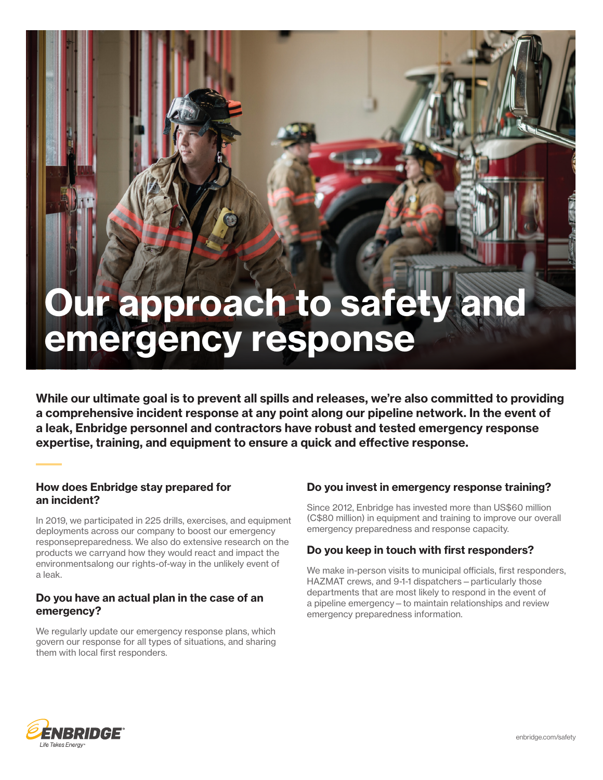# Our approach to safety and emergency response

While our ultimate goal is to prevent all spills and releases, we're also committed to providing a comprehensive incident response at any point along our pipeline network. In the event of a leak, Enbridge personnel and contractors have robust and tested emergency response expertise, training, and equipment to ensure a quick and effective response.

# How does Enbridge stay prepared for an incident?

In 2019, we participated in 225 drills, exercises, and equipment deployments across our company to boost our emergency responsepreparedness. We also do extensive research on the products we carryand how they would react and impact the environmentsalong our rights-of-way in the unlikely event of a leak.

### Do you have an actual plan in the case of an emergency?

We regularly update our emergency response plans, which govern our response for all types of situations, and sharing them with local first responders.

# Do you invest in emergency response training?

Since 2012, Enbridge has invested more than US\$60 million (C\$80 million) in equipment and training to improve our overall emergency preparedness and response capacity.

# Do you keep in touch with first responders?

We make in-person visits to municipal officials, first responders, HAZMAT crews, and 9-1-1 dispatchers—particularly those departments that are most likely to respond in the event of a pipeline emergency—to maintain relationships and review emergency preparedness information.